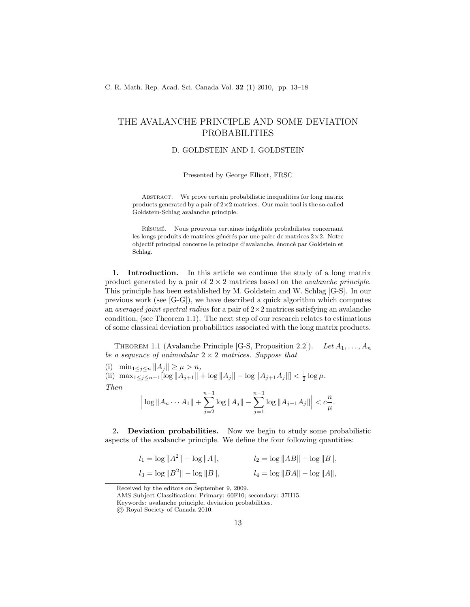## THE AVALANCHE PRINCIPLE AND SOME DEVIATION PROBABILITIES

## D. GOLDSTEIN AND I. GOLDSTEIN

Presented by George Elliott, FRSC

Abstract. We prove certain probabilistic inequalities for long matrix products generated by a pair of 2×2 matrices. Our main tool is the so-called Goldstein-Schlag avalanche principle.

RÉSUMÉ. Nous prouvons certaines inégalités probabilistes concernant les longs produits de matrices générés par une paire de matrices  $2\times 2$ . Notre objectif principal concerne le principe d'avalanche, énoncé par Goldstein et Schlag.

1. Introduction. In this article we continue the study of a long matrix product generated by a pair of  $2 \times 2$  matrices based on the *avalanche principle*. This principle has been established by M. Goldstein and W. Schlag [G-S]. In our previous work (see [G-G]), we have described a quick algorithm which computes an *averaged joint spectral radius* for a pair of  $2 \times 2$  matrices satisfying an avalanche condition, (see Theorem 1.1). The next step of our research relates to estimations of some classical deviation probabilities associated with the long matrix products.

THEOREM 1.1 (Avalanche Principle [G-S, Proposition 2.2]). Let  $A_1, \ldots, A_n$ be a sequence of unimodular  $2 \times 2$  matrices. Suppose that

(i)  $\min_{1 \leq j \leq n} ||A_j|| \geq \mu > n,$ 

(ii)  $\max_{1 \leq j \leq n-1} [\log ||A_{j+1}|| + \log ||A_j|| - \log ||A_{j+1}A_j||] < \frac{1}{2} \log \mu$ . Then

$$
\left|\log\|A_n\cdots A_1\|+\sum_{j=2}^{n-1}\log\|A_j\|-\sum_{j=1}^{n-1}\log\|A_{j+1}A_j\|\right|<\frac{n}{\mu}.
$$

2. Deviation probabilities. Now we begin to study some probabilistic aspects of the avalanche principle. We define the four following quantities:

$$
l_1 = \log ||A^2|| - \log ||A||,
$$
  
\n $l_2 = \log ||AB|| - \log ||B||,$   
\n $l_3 = \log ||B^2|| - \log ||B||,$   
\n $l_4 = \log ||BA|| - \log ||A||,$ 

Received by the editors on September 9, 2009.

AMS Subject Classification: Primary: 60F10; secondary: 37H15.

Keywords: avalanche principle, deviation probabilities.

© Royal Society of Canada 2010.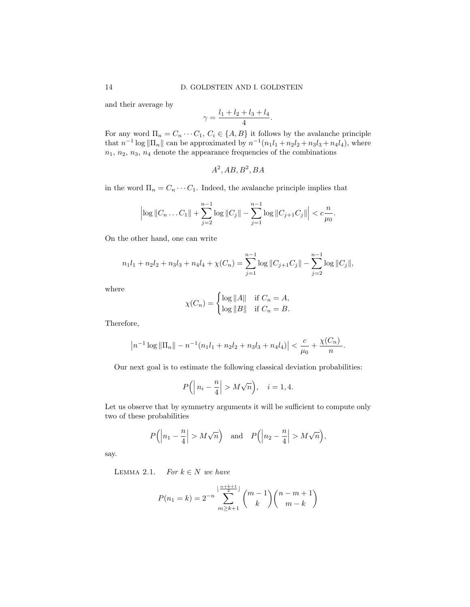and their average by

$$
\gamma=\frac{l_1+l_2+l_3+l_4}{4}.
$$

For any word  $\Pi_n = C_n \cdots C_1$ ,  $C_i \in \{A, B\}$  it follows by the avalanche principle that  $n^{-1} \log ||\Pi_n||$  can be approximated by  $n^{-1}(n_1l_1 + n_2l_2 + n_3l_3 + n_4l_4)$ , where  $n_1, n_2, n_3, n_4$  denote the appearance frequencies of the combinations

$$
A^2, AB, B^2, BA
$$

in the word  $\Pi_n = C_n \cdots C_1$ . Indeed, the avalanche principle implies that

$$
\left|\log\|C_n\ldots C_1\|+\sum_{j=2}^{n-1}\log\|C_j\|-\sum_{j=1}^{n-1}\log\|C_{j+1}C_j\|\right|<\frac{n}{\mu_0}.
$$

On the other hand, one can write

$$
n_1l_1 + n_2l_2 + n_3l_3 + n_4l_4 + \chi(C_n) = \sum_{j=1}^{n-1} \log ||C_{j+1}C_j|| - \sum_{j=2}^{n-1} \log ||C_j||,
$$

where

$$
\chi(C_n) = \begin{cases} \log ||A|| & \text{if } C_n = A, \\ \log ||B|| & \text{if } C_n = B. \end{cases}
$$

Therefore,

$$
\left| n^{-1} \log \|\Pi_n\| - n^{-1} (n_1 l_1 + n_2 l_2 + n_3 l_3 + n_4 l_4) \right| < \frac{c}{\mu_0} + \frac{\chi(C_n)}{n}.
$$

Our next goal is to estimate the following classical deviation probabilities:

$$
P\left(\left|n_i - \frac{n}{4}\right| > M\sqrt{n}\right), \quad i = 1, 4.
$$

Let us observe that by symmetry arguments it will be sufficient to compute only two of these probabilities

$$
P(|n_1 - \frac{n}{4}| > M\sqrt{n})
$$
 and  $P(|n_2 - \frac{n}{4}| > M\sqrt{n}),$ 

say.

LEMMA 2.1. For  $k \in N$  we have

$$
P(n_1 = k) = 2^{-n} \sum_{m \ge k+1}^{\lfloor \frac{n+k+1}{2} \rfloor} {m-1 \choose k} {n-m+1 \choose m-k}
$$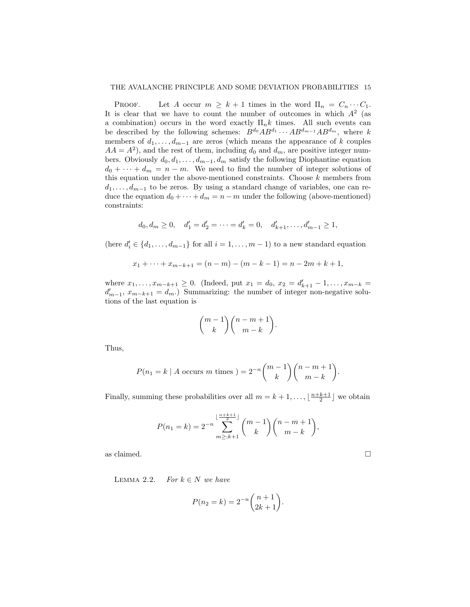PROOF. Let A occur  $m \geq k+1$  times in the word  $\Pi_n = C_n \cdots C_1$ . It is clear that we have to count the number of outcomes in which  $A^2$  (as a combination) occurs in the word exactly  $\Pi_n k$  times. All such events can be described by the following schemes:  $B^{d_0}AB^{d_1} \cdots AB^{d_{m-1}}AB^{d_m}$ , where k members of  $d_1, \ldots, d_{m-1}$  are zeros (which means the appearance of k couples  $AA = A<sup>2</sup>$ ), and the rest of them, including  $d_0$  and  $d_m$ , are positive integer numbers. Obviously  $d_0, d_1, \ldots, d_{m-1}, d_m$  satisfy the following Diophantine equation  $d_0 + \cdots + d_m = n - m$ . We need to find the number of integer solutions of this equation under the above-mentioned constraints. Choose  $k$  members from  $d_1, \ldots, d_{m-1}$  to be zeros. By using a standard change of variables, one can reduce the equation  $d_0 + \cdots + d_m = n - m$  under the following (above-mentioned) constraints:

$$
d_0, d_m \ge 0
$$
,  $d'_1 = d'_2 = \cdots = d'_k = 0$ ,  $d'_{k+1}, \ldots, d'_{m-1} \ge 1$ ,

(here  $d'_{i} \in \{d_1, \ldots, d_{m-1}\}$  for all  $i = 1, \ldots, m-1$ ) to a new standard equation

$$
x_1 + \dots + x_{m-k+1} = (n-m) - (m-k-1) = n-2m+k+1,
$$

where  $x_1, \ldots, x_{m-k+1} \geq 0$ . (Indeed, put  $x_1 = d_0, x_2 = d'_{k+1} - 1, \ldots, x_{m-k} =$  $d'_{m-1}, x_{m-k+1} = d_m.$  Summarizing: the number of integer non-negative solutions of the last equation is

$$
\binom{m-1}{k}\binom{n-m+1}{m-k}.
$$

Thus,

$$
P(n_1 = k \mid A \text{ occurs } m \text{ times } ) = 2^{-n} \binom{m-1}{k} \binom{n-m+1}{m-k}.
$$

Finally, summing these probabilities over all  $m = k + 1, \ldots, \lfloor \frac{n+k+1}{2} \rfloor$  we obtain

$$
P(n_1 = k) = 2^{-n} \sum_{m \ge k+1}^{\lfloor \frac{n+k+1}{2} \rfloor} {m-1 \choose k} {n-m+1 \choose m-k},
$$

as claimed.  $\hfill \square$ 

LEMMA 2.2. For  $k \in N$  we have

$$
P(n_2 = k) = 2^{-n} \binom{n+1}{2k+1}
$$

.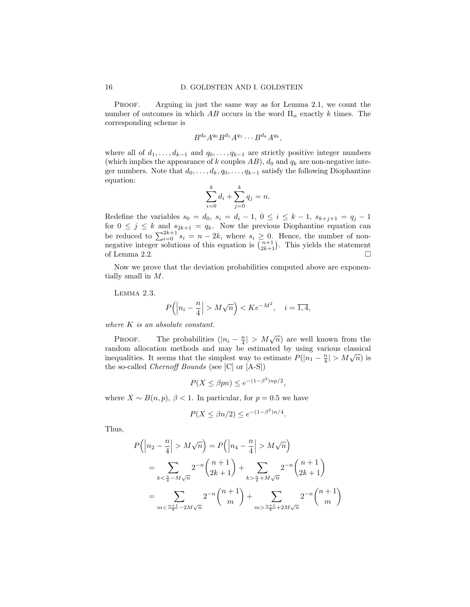PROOF. Arguing in just the same way as for Lemma 2.1, we count the number of outcomes in which AB occurs in the word  $\Pi_n$  exactly k times. The corresponding scheme is

$$
B^{d_0}A^{q_0}B^{d_1}A^{q_1}\cdots B^{d_k}A^{q_k},
$$

where all of  $d_1, \ldots, d_{k-1}$  and  $q_0, \ldots, q_{k-1}$  are strictly positive integer numbers (which implies the appearance of k couples  $AB$ ),  $d_0$  and  $q_k$  are non-negative integer numbers. Note that  $d_0, \ldots, d_k, q_0, \ldots, q_{k-1}$  satisfy the following Diophantine equation:

$$
\sum_{i=0}^{k} d_i + \sum_{j=0}^{k} q_j = n.
$$

Redefine the variables  $s_0 = d_0, s_i = d_i - 1, 0 \le i \le k - 1, s_{k+j+1} = q_j - 1$ for  $0 \leq j \leq k$  and  $s_{2k+1} = q_k$ . Now the previous Diophantine equation can be reduced to  $\sum_{i=0}^{2k+1} s_i = n-2k$ , where  $s_i \geq 0$ . Hence, the number of nonnegative integer solutions of this equation is  $\binom{n+1}{2k+1}$ . This yields the statement of Lemma 2.2.  $\Box$ 

Now we prove that the deviation probabilities computed above are exponentially small in M.

Lemma 2.3.

$$
P(|n_i - \frac{n}{4}| > M\sqrt{n}) < Ke^{-M^2}, \quad i = \overline{1, 4},
$$

where K is an absolute constant.

PROOF. The probabilities  $(|n_i - \frac{n}{4}| > M\sqrt{n})$  are well known from the random allocation methods and may be estimated by using various classical inequalities. It seems that the simplest way to estimate  $P(|n_1 - \frac{n}{4}| > M\sqrt{n})$  is the so-called Chernoff Bounds (see [C] or [A-S])

$$
P(X \le \beta pn) \le e^{-(1-\beta^2)np/2},
$$

where  $X \sim B(n, p)$ ,  $\beta < 1$ . In particular, for  $p = 0.5$  we have

$$
P(X \le \beta n/2) \le e^{-(1-\beta^2)n/4}.
$$

Thus,

$$
P\left(\left|n_2 - \frac{n}{4}\right| > M\sqrt{n}\right) = P\left(\left|n_4 - \frac{n}{4}\right| > M\sqrt{n}\right)
$$
\n
$$
= \sum_{k < \frac{n}{4} - M\sqrt{n}} 2^{-n} \binom{n+1}{2k+1} + \sum_{k > \frac{n}{4} + M\sqrt{n}} 2^{-n} \binom{n+1}{2k+1}
$$
\n
$$
= \sum_{m < \frac{n+1}{4} - 2M\sqrt{n}} 2^{-n} \binom{n+1}{m} + \sum_{m > \frac{n+1}{4} + 2M\sqrt{n}} 2^{-n} \binom{n+1}{m}
$$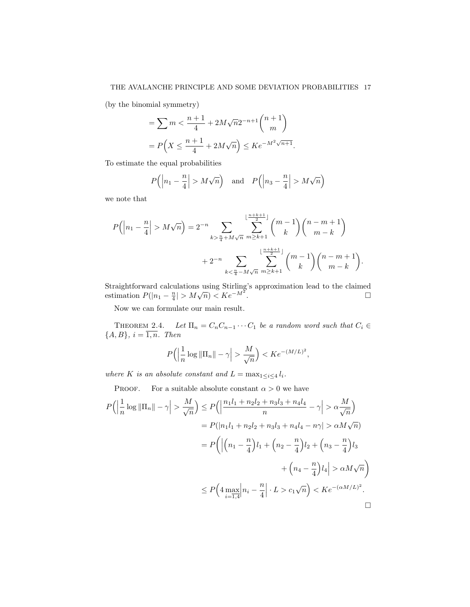## THE AVALANCHE PRINCIPLE AND SOME DEVIATION PROBABILITIES 17

(by the binomial symmetry)

$$
= \sum m < \frac{n+1}{4} + 2M\sqrt{n}2^{-n+1} \binom{n+1}{m}
$$
  
=  $P\left(X \le \frac{n+1}{4} + 2M\sqrt{n}\right) \le Ke^{-M^2\sqrt{n+1}}.$ 

To estimate the equal probabilities

$$
P(|n_1 - \frac{n}{4}| > M\sqrt{n})
$$
 and  $P(|n_3 - \frac{n}{4}| > M\sqrt{n})$ 

we note that

$$
P\left(\left|n_1 - \frac{n}{4}\right| > M\sqrt{n}\right) = 2^{-n} \sum_{k > \frac{n}{4} + M\sqrt{n}} \sum_{m \ge k+1}^{\lfloor \frac{n+k+1}{2} \rfloor} \binom{m-1}{k} \binom{n-m+1}{m-k} + 2^{-n} \sum_{k < \frac{n}{4} - M\sqrt{n}} \sum_{m \ge k+1}^{\lfloor \frac{n+k+1}{2} \rfloor} \binom{m-1}{k} \binom{n-m+1}{m-k}.
$$

Straightforward calculations using Stirling's approximation lead to the claimed estimation  $P(|n_1 - \frac{n}{4}| > M\sqrt{n}) < Ke^{-M^2}$ . □

Now we can formulate our main result.

THEOREM 2.4. Let  $\Pi_n = C_n C_{n-1} \cdots C_1$  be a random word such that  $C_i \in$  ${A, B}, i = \overline{1, n}.$  Then

$$
P\left(\left|\frac{1}{n}\log\|\Pi_n\|-\gamma\right|>\frac{M}{\sqrt{n}}\right)
$$

where K is an absolute constant and  $L = \max_{1 \leq i \leq 4} l_i$ .

PROOF. For a suitable absolute constant  $\alpha > 0$  we have

$$
P\left(\left|\frac{1}{n}\log\left|\left|\Pi_{n}\right|\right|-\gamma\right|>\frac{M}{\sqrt{n}}\right)\leq P\left(\left|\frac{n_{1}l_{1}+n_{2}l_{2}+n_{3}l_{3}+n_{4}l_{4}}{n}-\gamma\right|>\alpha\frac{M}{\sqrt{n}}\right)
$$
\n
$$
=P(\left|n_{1}l_{1}+n_{2}l_{2}+n_{3}l_{3}+n_{4}l_{4}-n\gamma\right|>\alpha M\sqrt{n})
$$
\n
$$
=P\left(\left|\left(n_{1}-\frac{n}{4}\right)l_{1}+\left(n_{2}-\frac{n}{4}\right)l_{2}+\left(n_{3}-\frac{n}{4}\right)l_{3}\right|+\left(n_{4}-\frac{n}{4}\right)l_{4}\right|>\alpha M\sqrt{n}\right)
$$
\n
$$
\leq P\left(4\max_{i=\overline{1,4}}\left|n_{i}-\frac{n}{4}\right|\cdot L>c_{1}\sqrt{n}\right)
$$